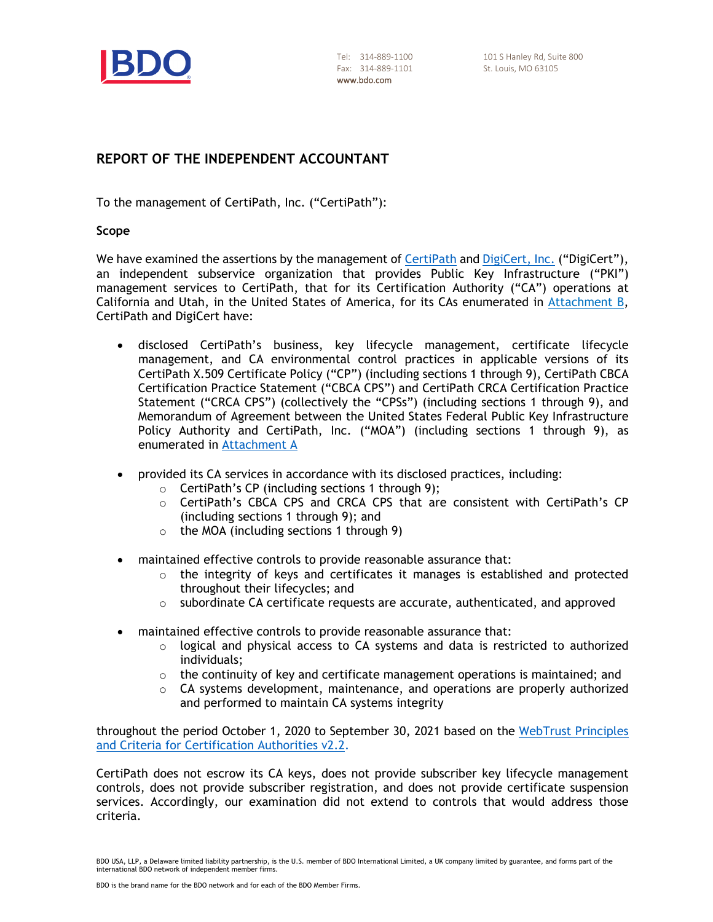

Tel: 314-889-1100 Fax: 314-889-1101 www.bdo.com

# **REPORT OF THE INDEPENDENT ACCOUNTANT**

To the management of CertiPath, Inc. ("CertiPath"):

#### **Scope**

We have examined the assertions by the management of [CertiPath a](#page-5-0)n[d DigiCert, Inc.](#page-9-0) ("DigiCert"), an independent subservice organization that provides Public Key Infrastructure ("PKI") management services to CertiPath, that for its Certification Authority ("CA") operations at California and Utah, in the United States of America, for its CAs enumerated in [Attachment B,](#page-4-0) CertiPath and DigiCert have:

- disclosed CertiPath's business, key lifecycle management, certificate lifecycle management, and CA environmental control practices in applicable versions of its CertiPath X.509 Certificate Policy ("CP") (including sections 1 through 9), CertiPath CBCA Certification Practice Statement ("CBCA CPS") and CertiPath CRCA Certification Practice Statement ("CRCA CPS") (collectively the "CPSs") (including sections 1 through 9), and Memorandum of Agreement between the United States Federal Public Key Infrastructure Policy Authority and CertiPath, Inc. ("MOA") (including sections 1 through 9), as enumerated in [Attachment A](#page-3-0)
- provided its CA services in accordance with its disclosed practices, including:
	- o CertiPath's CP (including sections 1 through 9);
	- o CertiPath's CBCA CPS and CRCA CPS that are consistent with CertiPath's CP (including sections 1 through 9); and
	- o the MOA (including sections 1 through 9)
- maintained effective controls to provide reasonable assurance that:
	- $\circ$  the integrity of keys and certificates it manages is established and protected throughout their lifecycles; and
	- $\circ$  subordinate CA certificate requests are accurate, authenticated, and approved
- maintained effective controls to provide reasonable assurance that:
	- o logical and physical access to CA systems and data is restricted to authorized individuals;
	- $\circ$  the continuity of key and certificate management operations is maintained; and
	- $\circ$  CA systems development, maintenance, and operations are properly authorized and performed to maintain CA systems integrity

throughout the period October 1, 2020 to September 30, 2021 based on the [WebTrust Principles](https://www.cpacanada.ca/-/media/site/operational/ms-member-services/docs/webtrust/webtrust-for-ca-22.pdf?la=en&hash=76D4C1F8363D563CE7FC09031E54ACA2EBFE3E3A)  [and Criteria for Certification Authorities v2.2.](https://www.cpacanada.ca/-/media/site/operational/ms-member-services/docs/webtrust/webtrust-for-ca-22.pdf?la=en&hash=76D4C1F8363D563CE7FC09031E54ACA2EBFE3E3A)

CertiPath does not escrow its CA keys, does not provide subscriber key lifecycle management controls, does not provide subscriber registration, and does not provide certificate suspension services. Accordingly, our examination did not extend to controls that would address those criteria.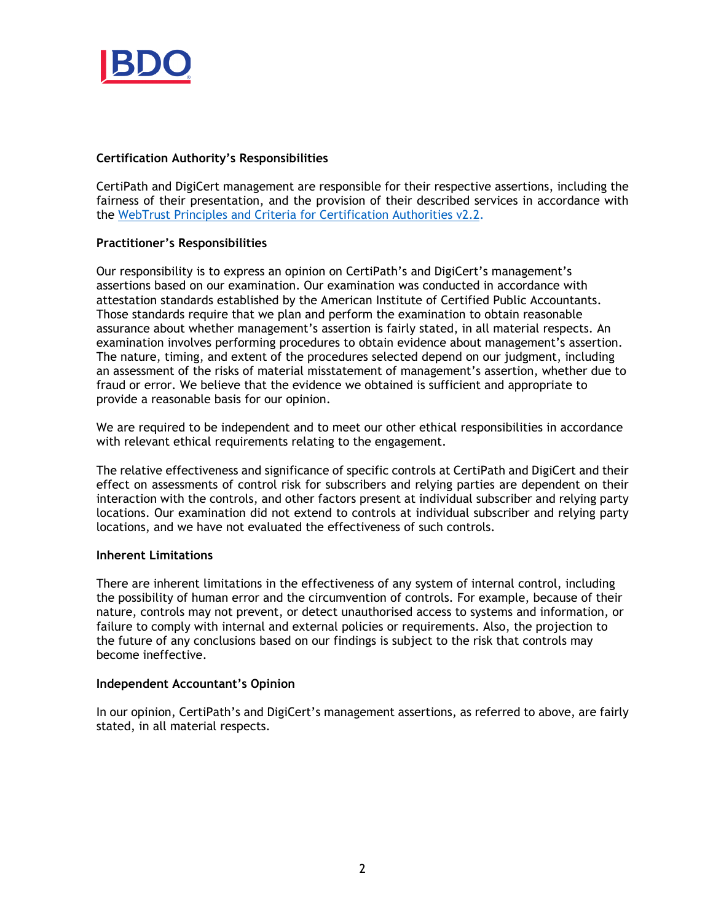

#### **Certification Authority's Responsibilities**

CertiPath and DigiCert management are responsible for their respective assertions, including the fairness of their presentation, and the provision of their described services in accordance with the [WebTrust Principles and Criteria for Certification Authorities v2.2.](https://www.cpacanada.ca/-/media/site/operational/ms-member-services/docs/webtrust/webtrust-for-ca-22.pdf?la=en&hash=76D4C1F8363D563CE7FC09031E54ACA2EBFE3E3A)

## **Practitioner's Responsibilities**

Our responsibility is to express an opinion on CertiPath's and DigiCert's management's assertions based on our examination. Our examination was conducted in accordance with attestation standards established by the American Institute of Certified Public Accountants. Those standards require that we plan and perform the examination to obtain reasonable assurance about whether management's assertion is fairly stated, in all material respects. An examination involves performing procedures to obtain evidence about management's assertion. The nature, timing, and extent of the procedures selected depend on our judgment, including an assessment of the risks of material misstatement of management's assertion, whether due to fraud or error. We believe that the evidence we obtained is sufficient and appropriate to provide a reasonable basis for our opinion.

We are required to be independent and to meet our other ethical responsibilities in accordance with relevant ethical requirements relating to the engagement.

The relative effectiveness and significance of specific controls at CertiPath and DigiCert and their effect on assessments of control risk for subscribers and relying parties are dependent on their interaction with the controls, and other factors present at individual subscriber and relying party locations. Our examination did not extend to controls at individual subscriber and relying party locations, and we have not evaluated the effectiveness of such controls.

#### **Inherent Limitations**

There are inherent limitations in the effectiveness of any system of internal control, including the possibility of human error and the circumvention of controls. For example, because of their nature, controls may not prevent, or detect unauthorised access to systems and information, or failure to comply with internal and external policies or requirements. Also, the projection to the future of any conclusions based on our findings is subject to the risk that controls may become ineffective.

#### **Independent Accountant's Opinion**

In our opinion, CertiPath's and DigiCert's management assertions, as referred to above, are fairly stated, in all material respects.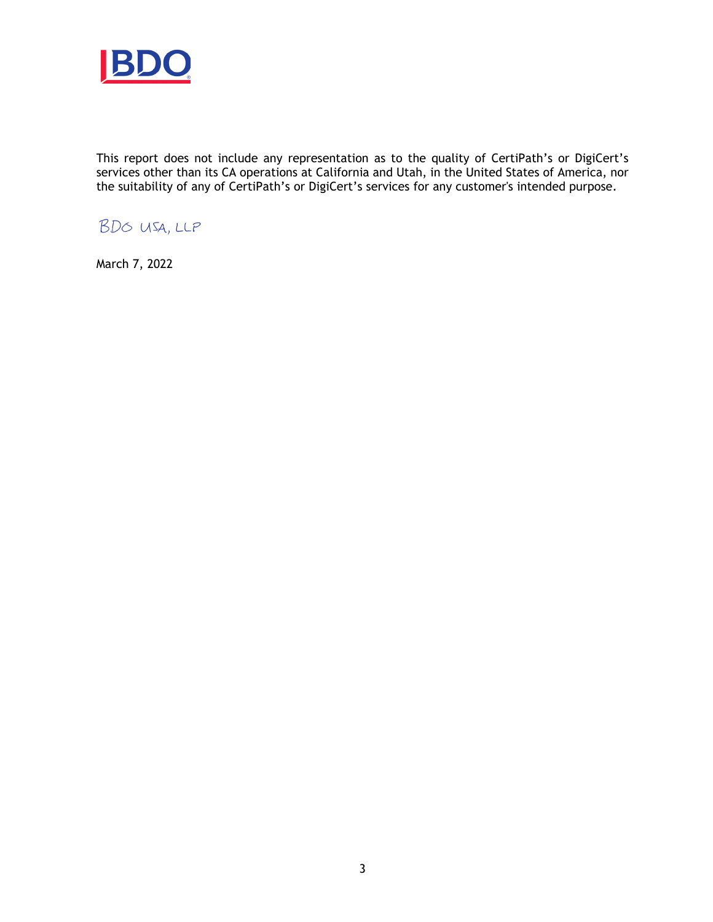

This report does not include any representation as to the quality of CertiPath's or DigiCert's services other than its CA operations at California and Utah, in the United States of America, nor the suitability of any of CertiPath's or DigiCert's services for any customer's intended purpose.

# BDG USA, LLP

March 7, 2022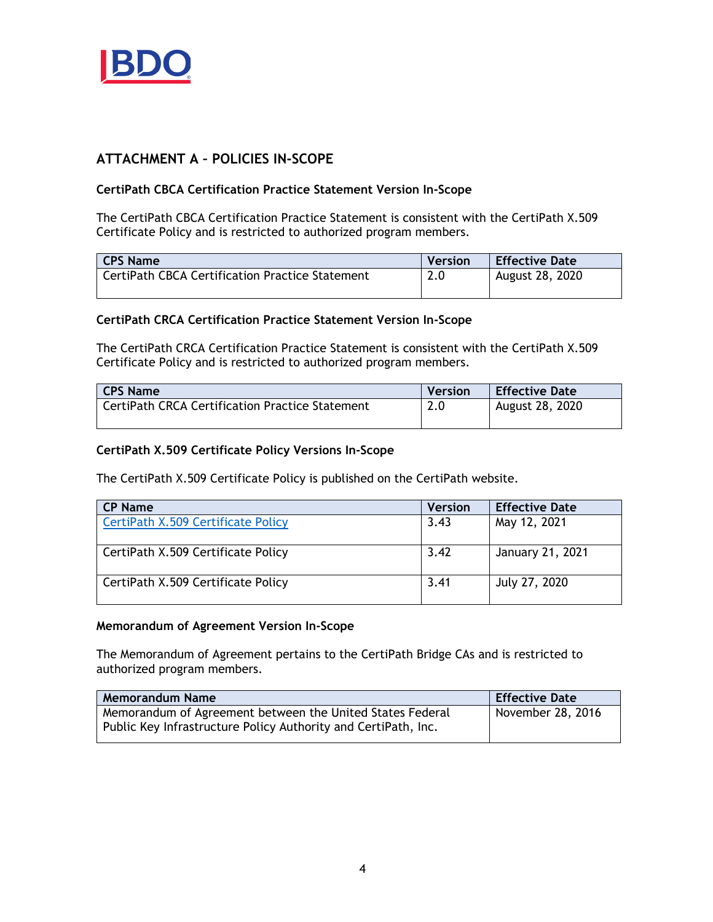<span id="page-3-0"></span>

# **ATTACHMENT A – POLICIES IN-SCOPE**

## **CertiPath CBCA Certification Practice Statement Version In-Scope**

The CertiPath CBCA Certification Practice Statement is consistent with the CertiPath X.509 Certificate Policy and is restricted to authorized program members.

| <b>CPS Name</b>                                        | <b>Version</b> | <b>Effective Date</b> |
|--------------------------------------------------------|----------------|-----------------------|
| <b>CertiPath CBCA Certification Practice Statement</b> | 2.0            | August 28, 2020       |

#### **CertiPath CRCA Certification Practice Statement Version In-Scope**

The CertiPath CRCA Certification Practice Statement is consistent with the CertiPath X.509 Certificate Policy and is restricted to authorized program members.

| CPS Name                                          | <b>Version</b> | <b>Effective Date</b> |
|---------------------------------------------------|----------------|-----------------------|
| l CertiPath CRCA Certification Practice Statement | 2.0            | August 28, 2020       |

#### **CertiPath X.509 Certificate Policy Versions In-Scope**

The CertiPath X.509 Certificate Policy is published on the CertiPath website.

| <b>CP Name</b>                     | <b>Version</b> | <b>Effective Date</b> |
|------------------------------------|----------------|-----------------------|
| CertiPath X.509 Certificate Policy | 3.43           | May 12, 2021          |
| CertiPath X.509 Certificate Policy | 3.42           | January 21, 2021      |
| CertiPath X.509 Certificate Policy | 3.41           | July 27, 2020         |

#### **Memorandum of Agreement Version In-Scope**

The Memorandum of Agreement pertains to the CertiPath Bridge CAs and is restricted to authorized program members.

| <b>Memorandum Name</b>                                                                                                      | <b>Effective Date</b> |
|-----------------------------------------------------------------------------------------------------------------------------|-----------------------|
| Memorandum of Agreement between the United States Federal<br>Public Key Infrastructure Policy Authority and CertiPath, Inc. | November 28, 2016     |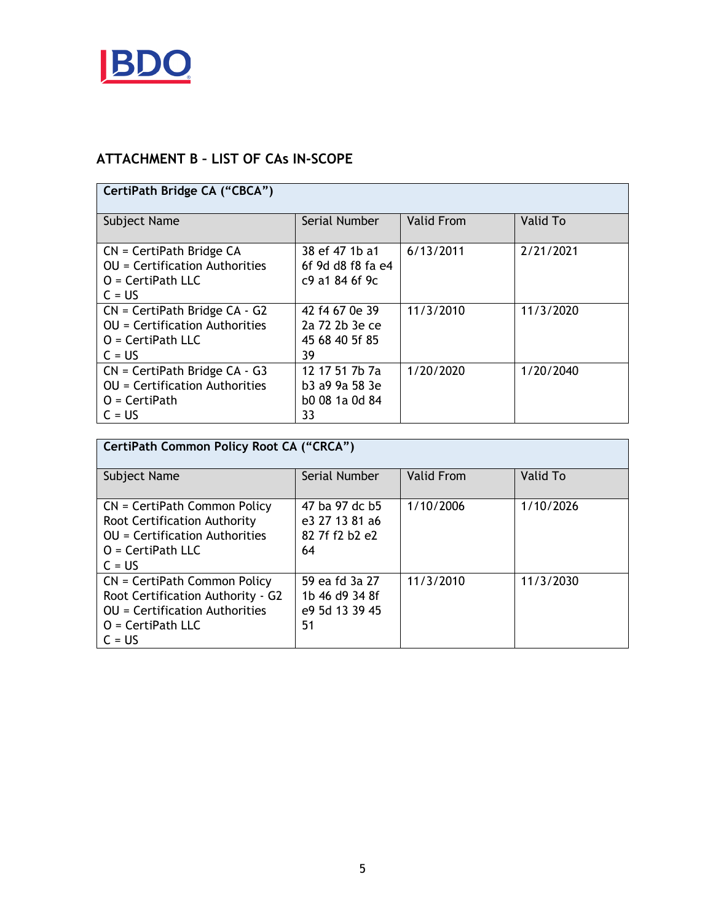<span id="page-4-0"></span>

# **ATTACHMENT B – LIST OF CAs IN-SCOPE**

| CertiPath Bridge CA ("CBCA")                                                                                       |                                                          |                   |           |
|--------------------------------------------------------------------------------------------------------------------|----------------------------------------------------------|-------------------|-----------|
| Subject Name                                                                                                       | Serial Number                                            | <b>Valid From</b> | Valid To  |
| CN = CertiPath Bridge CA<br><b>OU</b> = Certification Authorities<br>$O =$ CertiPath LLC<br>$C = US$               | 38 ef 47 1b a1<br>6f 9d d8 f8 fa e4<br>c9 a1 84 6f 9c    | 6/13/2011         | 2/21/2021 |
| $CN = \text{CertiPath Bridge CA} - G2$<br><b>OU</b> = Certification Authorities<br>$O =$ CertiPath LLC<br>$C = US$ | 42 f4 67 0e 39<br>2a 72 2b 3e ce<br>45 68 40 5f 85<br>39 | 11/3/2010         | 11/3/2020 |
| $CN = \text{CertiPath Bridge CA} - G3$<br><b>OU</b> = Certification Authorities<br>$O =$ CertiPath<br>$C = US$     | 12 17 51 7b 7a<br>b3 a9 9a 58 3e<br>b0 08 1a 0d 84<br>33 | 1/20/2020         | 1/20/2040 |

| CertiPath Common Policy Root CA ("CRCA")                                                                                                      |                                                          |                   |           |
|-----------------------------------------------------------------------------------------------------------------------------------------------|----------------------------------------------------------|-------------------|-----------|
| Subject Name                                                                                                                                  | Serial Number                                            | <b>Valid From</b> | Valid To  |
| CN = CertiPath Common Policy<br>Root Certification Authority<br><b>OU</b> = Certification Authorities<br>$O =$ CertiPath LLC<br>$C = US$      | 47 ba 97 dc b5<br>e3 27 13 81 a6<br>82 7f f2 b2 e2<br>64 | 1/10/2006         | 1/10/2026 |
| CN = CertiPath Common Policy<br>Root Certification Authority - G2<br><b>OU</b> = Certification Authorities<br>$O =$ CertiPath LLC<br>$C = US$ | 59 ea fd 3a 27<br>1b 46 d9 34 8f<br>e9 5d 13 39 45<br>51 | 11/3/2010         | 11/3/2030 |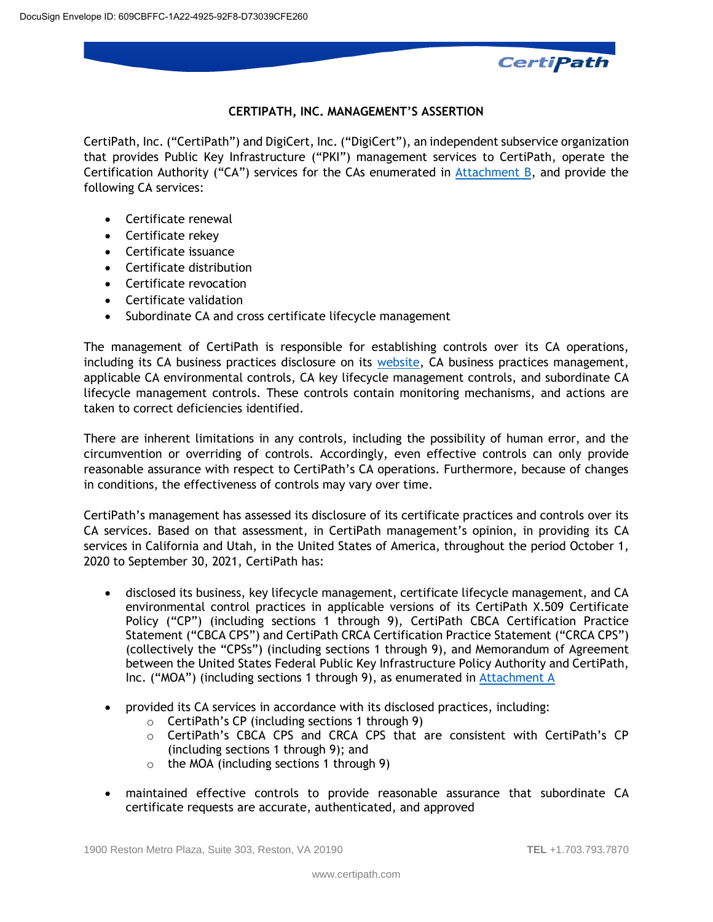

# **CERTIPATH, INC. MANAGEMENT'S ASSERTION**

<span id="page-5-0"></span>CertiPath, Inc. ("CertiPath") and DigiCert, Inc. ("DigiCert"), an independent subservice organization that provides Public Key Infrastructure ("PKI") management services to CertiPath, operate the Certification Authority ("CA") services for the CAs enumerated in  $Attachment B$ , and provide the</u> following CA services:

- Certificate renewal
- Certificate rekey
- Certificate issuance
- Certificate distribution
- Certificate revocation
- Certificate validation
- Subordinate CA and cross certificate lifecycle management

The management of CertiPath is responsible for establishing controls over its CA operations, including its CA business practices disclosure on its [website,](https://certipath.com/services/federated-trust/policy-management-authority/) CA business practices management, applicable CA environmental controls, CA key lifecycle management controls, and subordinate CA lifecycle management controls. These controls contain monitoring mechanisms, and actions are taken to correct deficiencies identified.

There are inherent limitations in any controls, including the possibility of human error, and the circumvention or overriding of controls. Accordingly, even effective controls can only provide reasonable assurance with respect to CertiPath's CA operations. Furthermore, because of changes in conditions, the effectiveness of controls may vary over time.

CertiPath's management has assessed its disclosure of its certificate practices and controls over its CA services. Based on that assessment, in CertiPath management's opinion, in providing its CA services in California and Utah, in the United States of America, throughout the period October 1, 2020 to September 30, 2021, CertiPath has:

- disclosed its business, key lifecycle management, certificate lifecycle management, and CA environmental control practices in applicable versions of its CertiPath X.509 Certificate Policy ("CP") (including sections 1 through 9), CertiPath CBCA Certification Practice Statement ("CBCA CPS") and CertiPath CRCA Certification Practice Statement ("CRCA CPS") (collectively the "CPSs") (including sections 1 through 9), and Memorandum of Agreement between the United States Federal Public Key Infrastructure Policy Authority and CertiPath, Inc. ("MOA") (including sections 1 through 9), as enumerated in [Attachment A](#page-7-0)
- provided its CA services in accordance with its disclosed practices, including:
	- o CertiPath's CP (including sections 1 through 9)
	- o CertiPath's CBCA CPS and CRCA CPS that are consistent with CertiPath's CP (including sections 1 through 9); and
	- $\circ$  the MOA (including sections 1 through 9)
- maintained effective controls to provide reasonable assurance that subordinate CA certificate requests are accurate, authenticated, and approved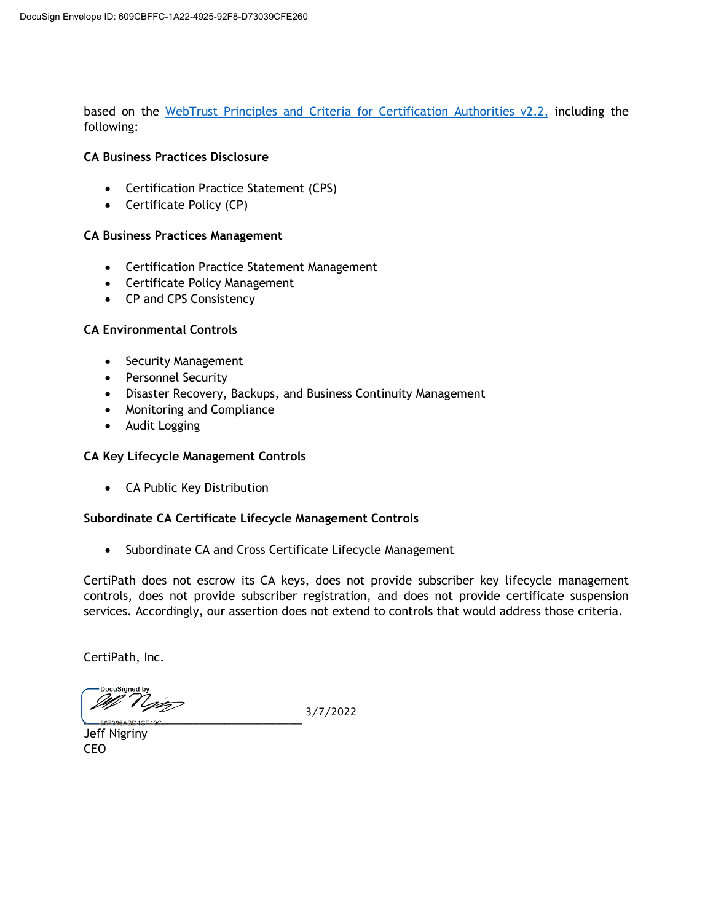based on the [WebTrust Principles and Criteria for Certification Authorities v2.2,](https://www.cpacanada.ca/-/media/site/operational/ms-member-services/docs/webtrust/webtrust-for-ca-22.pdf?la=en&hash=76D4C1F8363D563CE7FC09031E54ACA2EBFE3E3A) including the following:

### **CA Business Practices Disclosure**

- Certification Practice Statement (CPS)
- Certificate Policy (CP)

### **CA Business Practices Management**

- Certification Practice Statement Management
- Certificate Policy Management
- CP and CPS Consistency

# **CA Environmental Controls**

- Security Management
- Personnel Security
- Disaster Recovery, Backups, and Business Continuity Management
- Monitoring and Compliance
- Audit Logging

# **CA Key Lifecycle Management Controls**

CA Public Key Distribution

# **Subordinate CA Certificate Lifecycle Management Controls**

• Subordinate CA and Cross Certificate Lifecycle Management

CertiPath does not escrow its CA keys, does not provide subscriber key lifecycle management controls, does not provide subscriber registration, and does not provide certificate suspension services. Accordingly, our assertion does not extend to controls that would address those criteria.

CertiPath, Inc.

DocuSigned by M Niez \_\_\_\_\_\_\_\_\_\_\_\_\_\_\_\_\_\_\_\_\_\_\_\_\_\_\_\_\_\_\_\_\_\_

3/7/2022

Jeff Nigriny CEO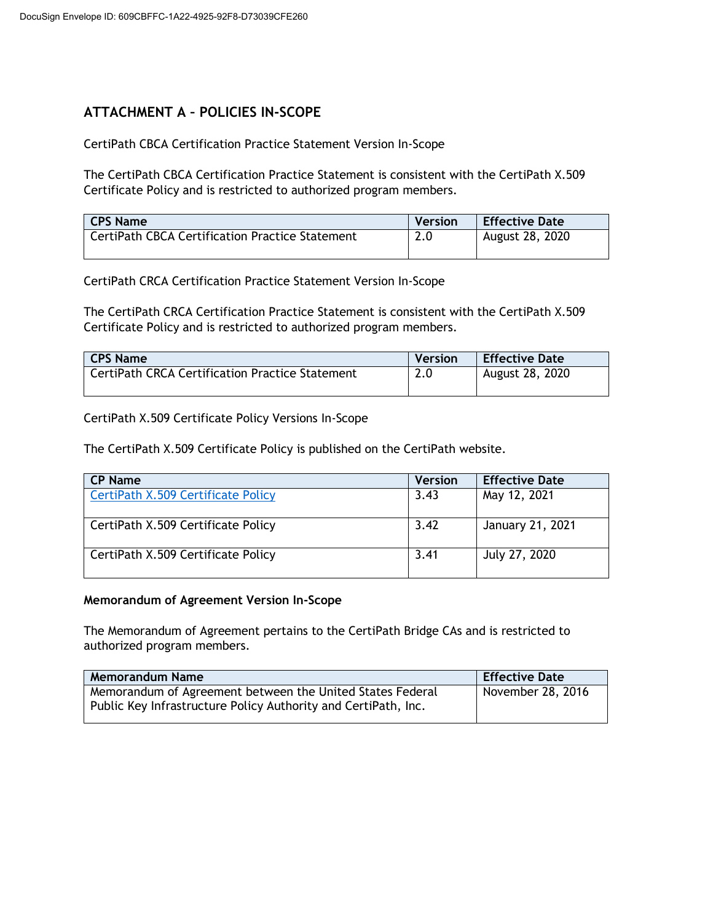# <span id="page-7-0"></span>**ATTACHMENT A – POLICIES IN-SCOPE**

CertiPath CBCA Certification Practice Statement Version In-Scope

The CertiPath CBCA Certification Practice Statement is consistent with the CertiPath X.509 Certificate Policy and is restricted to authorized program members.

| <b>CPS Name</b>                                        | <b>Version</b> | <b>Effective Date</b> |
|--------------------------------------------------------|----------------|-----------------------|
| <b>CertiPath CBCA Certification Practice Statement</b> |                | August 28, 2020       |
|                                                        |                |                       |

CertiPath CRCA Certification Practice Statement Version In-Scope

The CertiPath CRCA Certification Practice Statement is consistent with the CertiPath X.509 Certificate Policy and is restricted to authorized program members.

| <b>Version</b> | <b>Effective Date</b> |
|----------------|-----------------------|
| 2.0            | August 28, 2020       |
|                |                       |

CertiPath X.509 Certificate Policy Versions In-Scope

The CertiPath X.509 Certificate Policy is published on the CertiPath website.

| <b>CP Name</b>                            | <b>Version</b> | <b>Effective Date</b> |
|-------------------------------------------|----------------|-----------------------|
| <b>CertiPath X.509 Certificate Policy</b> | 3.43           | May 12, 2021          |
| CertiPath X.509 Certificate Policy        | 3.42           | January 21, 2021      |
| CertiPath X.509 Certificate Policy        | 3.41           | July 27, 2020         |

#### **Memorandum of Agreement Version In-Scope**

The Memorandum of Agreement pertains to the CertiPath Bridge CAs and is restricted to authorized program members.

| <b>Memorandum Name</b>                                                                                                      | Effective Date    |
|-----------------------------------------------------------------------------------------------------------------------------|-------------------|
| Memorandum of Agreement between the United States Federal<br>Public Key Infrastructure Policy Authority and CertiPath, Inc. | November 28, 2016 |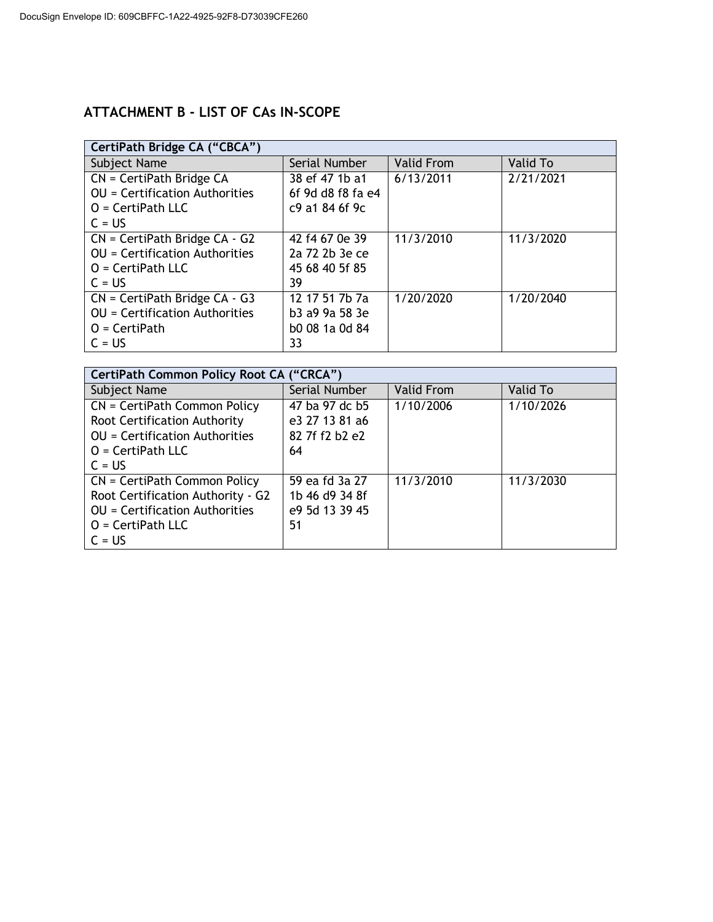# <span id="page-8-0"></span>**ATTACHMENT B - LIST OF CAs IN-SCOPE**

| CertiPath Bridge CA ("CBCA")           |                   |                   |                 |
|----------------------------------------|-------------------|-------------------|-----------------|
| Subject Name                           | Serial Number     | <b>Valid From</b> | <b>Valid To</b> |
| $CN = \text{CertiPath Bridge CA}$      | 38 ef 47 1b a1    | 6/13/2011         | 2/21/2021       |
| <b>OU</b> = Certification Authorities  | 6f 9d d8 f8 fa e4 |                   |                 |
| $O =$ CertiPath LLC                    | c9 a1 84 6f 9c    |                   |                 |
| $C = US$                               |                   |                   |                 |
| $CN = \text{CertiPath Bridge CA} - G2$ | 42 f4 67 0e 39    | 11/3/2010         | 11/3/2020       |
| <b>OU</b> = Certification Authorities  | 2a 72 2b 3e ce    |                   |                 |
| $O =$ CertiPath LLC                    | 45 68 40 5f 85    |                   |                 |
| $C = US$                               | 39                |                   |                 |
| $CN = \text{CertiPath Bridge CA} - G3$ | 12 17 51 7b 7a    | 1/20/2020         | 1/20/2040       |
| <b>OU</b> = Certification Authorities  | b3 a9 9a 58 3e    |                   |                 |
| $O =$ CertiPath                        | b0 08 1a 0d 84    |                   |                 |
| $C = US$                               | 33                |                   |                 |

| CertiPath Common Policy Root CA ("CRCA") |                             |                   |           |
|------------------------------------------|-----------------------------|-------------------|-----------|
| Subject Name                             | Serial Number               | <b>Valid From</b> | Valid To  |
| CN = CertiPath Common Policy             | 47 ba 97 dc b5              | 1/10/2006         | 1/10/2026 |
| Root Certification Authority             | e3 27 13 81 a6              |                   |           |
| <b>OU</b> = Certification Authorities    | 82 7f f2 b2 e2              |                   |           |
| $O =$ CertiPath LLC                      | 64                          |                   |           |
| $C = US$                                 |                             |                   |           |
| CN = CertiPath Common Policy             | $\overline{59}$ ea fd 3a 27 | 11/3/2010         | 11/3/2030 |
| Root Certification Authority - G2        | 1b 46 d9 34 8f              |                   |           |
| <b>OU</b> = Certification Authorities    | e9 5d 13 39 45              |                   |           |
| $O =$ CertiPath LLC                      | 51                          |                   |           |
| $C = US$                                 |                             |                   |           |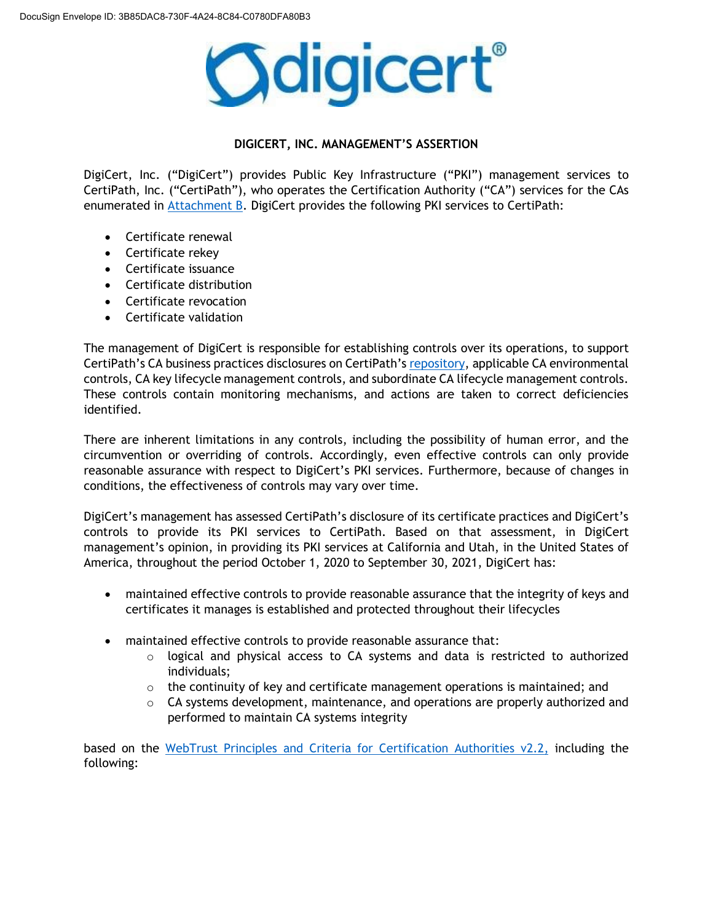

# **DIGICERT, INC. MANAGEMENT'S ASSERTION**

<span id="page-9-0"></span>DigiCert, Inc. ("DigiCert") provides Public Key Infrastructure ("PKI") management services to CertiPath, Inc. ("CertiPath"), who operates the Certification Authority ("CA") services for the CAs enumerated in [Attachment B.](#page-8-0) DigiCert provides the following PKI services to CertiPath:

- Certificate renewal
- Certificate rekey
- Certificate issuance
- Certificate distribution
- Certificate revocation
- Certificate validation

The management of DigiCert is responsible for establishing controls over its operations, to support CertiPath's CA business practices disclosures on CertiPath's [repository,](https://certipath.com/services/federated-trust/policy-management-authority/) applicable CA environmental controls, CA key lifecycle management controls, and subordinate CA lifecycle management controls. These controls contain monitoring mechanisms, and actions are taken to correct deficiencies identified.

There are inherent limitations in any controls, including the possibility of human error, and the circumvention or overriding of controls. Accordingly, even effective controls can only provide reasonable assurance with respect to DigiCert's PKI services. Furthermore, because of changes in conditions, the effectiveness of controls may vary over time.

DigiCert's management has assessed CertiPath's disclosure of its certificate practices and DigiCert's controls to provide its PKI services to CertiPath. Based on that assessment, in DigiCert management's opinion, in providing its PKI services at California and Utah, in the United States of America, throughout the period October 1, 2020 to September 30, 2021, DigiCert has:

- maintained effective controls to provide reasonable assurance that the integrity of keys and certificates it manages is established and protected throughout their lifecycles
- maintained effective controls to provide reasonable assurance that:
	- $\circ$  logical and physical access to CA systems and data is restricted to authorized individuals;
	- $\circ$  the continuity of key and certificate management operations is maintained; and
	- $\circ$  CA systems development, maintenance, and operations are properly authorized and performed to maintain CA systems integrity

based on the [WebTrust Principles and Criteria for Certification Authorities v2.2,](https://www.cpacanada.ca/-/media/site/operational/ms-member-services/docs/webtrust/webtrust-for-ca-22.pdf?la=en&hash=76D4C1F8363D563CE7FC09031E54ACA2EBFE3E3A) including the following: